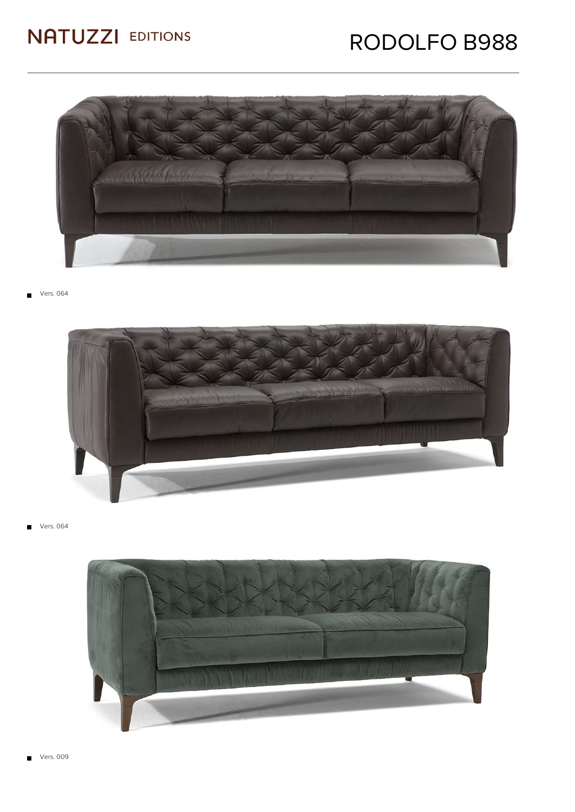### RODOLFO B988



Vers. 064



Vers. 064  $\blacksquare$ 

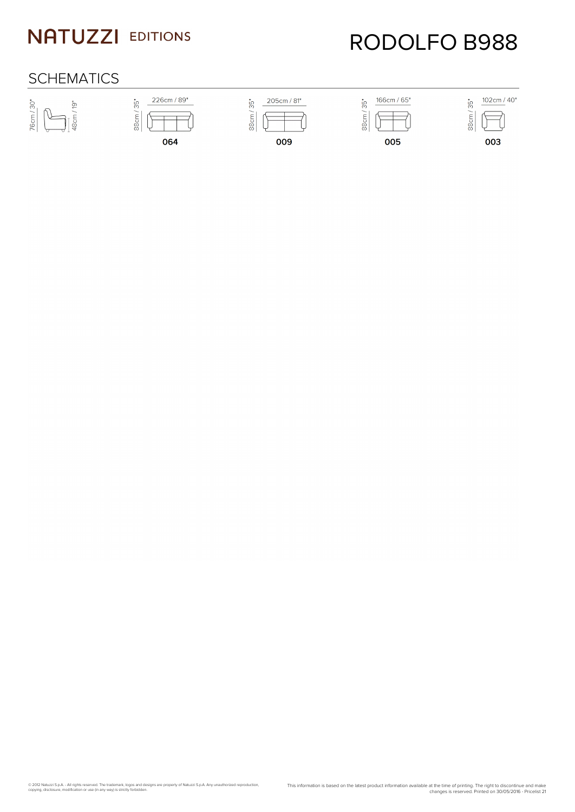# RODOLFO B988

#### **SCHEMATICS**









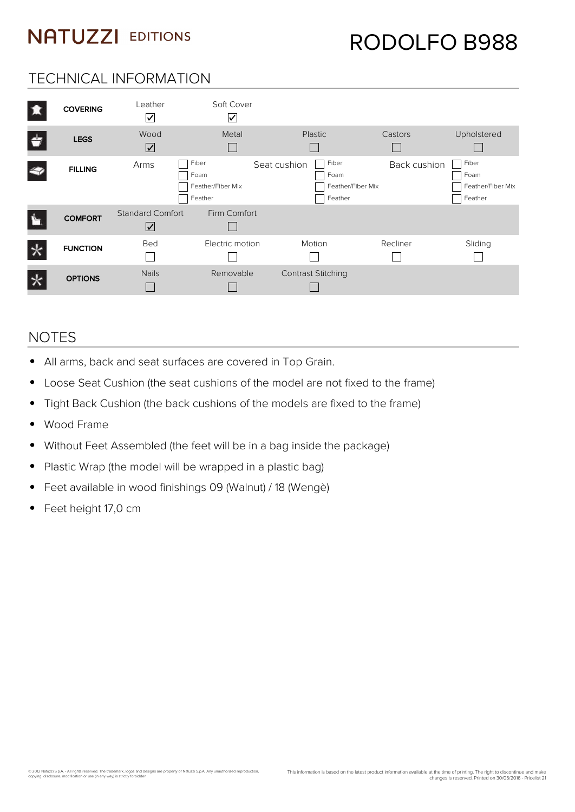#### TECHNICAL INFORMATION

| 13     | <b>COVERING</b> | Leather<br>$\overline{\vee}$                    | Soft Cover<br>∨                               |                                                               |              |                                               |
|--------|-----------------|-------------------------------------------------|-----------------------------------------------|---------------------------------------------------------------|--------------|-----------------------------------------------|
| Ġ      | <b>LEGS</b>     | Wood<br>$\boxed{\checkmark}$                    | Metal                                         | Plastic                                                       | Castors      | Upholstered                                   |
|        | <b>FILLING</b>  | Arms                                            | Fiber<br>Foam<br>Feather/Fiber Mix<br>Feather | Fiber<br>Seat cushion<br>Foam<br>Feather/Fiber Mix<br>Feather | Back cushion | Fiber<br>Foam<br>Feather/Fiber Mix<br>Feather |
|        | <b>COMFORT</b>  | <b>Standard Comfort</b><br>$\boxed{\checkmark}$ | Firm Comfort                                  |                                                               |              |                                               |
| $\ast$ | <b>FUNCTION</b> | Bed                                             | Electric motion                               | Motion                                                        | Recliner     | Sliding                                       |
|        | <b>OPTIONS</b>  | <b>Nails</b>                                    | Removable                                     | <b>Contrast Stitching</b>                                     |              |                                               |

#### NOTES

- All arms, back and seat surfaces are covered in Top Grain.
- Loose Seat Cushion (the seat cushions of the model are not fixed to the frame)  $\bullet$
- Tight Back Cushion (the back cushions of the models are fixed to the frame)  $\bullet$
- Wood Frame  $\bullet$
- Without Feet Assembled (the feet will be in a bag inside the package)  $\bullet$
- Plastic Wrap (the model will be wrapped in a plastic bag)  $\bullet$
- Feet available in wood finishings 09 (Walnut) / 18 (Wengè)  $\bullet$
- Feet height 17,0 cm  $\bullet$